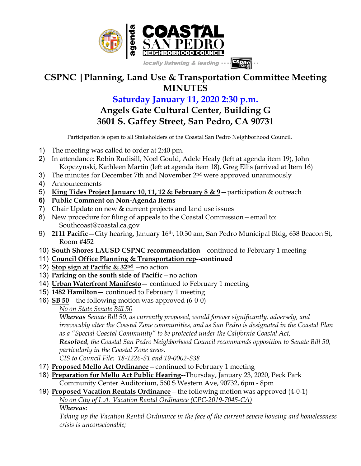

## **CSPNC |Planning, Land Use & Transportation Committee Meeting MINUTES**

## **Saturday January 11, 2020 2:30 p.m. Angels Gate Cultural Center, Building G 3601 S. Gaffey Street, San Pedro, CA 90731**

Participation is open to all Stakeholders of the Coastal San Pedro Neighborhood Council.

- 1) The meeting was called to order at 2:40 pm.
- 2) In attendance: Robin Rudisill, Noel Gould, Adele Healy (left at agenda item 19), John Kopczynski, Kathleen Martin (left at agenda item 18), Greg Ellis (arrived at Item 16)
- 3) The minutes for December 7th and November  $2<sup>nd</sup>$  were approved unanimously
- 4) Announcements
- 5) **King Tides Project January 10, 11, 12 & February 8 & 9**—participation & outreach
- **6) Public Comment on Non-Agenda Items**
- 7) Chair Update on new & current projects and land use issues
- 8) New procedure for filing of appeals to the Coastal Commission—email to: Southcoast@coastal.ca.gov
- 9) **2111 Pacific**—City hearing, January 16th, 10:30 am, San Pedro Municipal Bldg, 638 Beacon St, Room #452
- 10) **South Shores LAUSD CSPNC recommendation**—continued to February 1 meeting
- 11) **Council Office Planning & Transportation rep--continued**
- 12) **Stop sign at Pacific & 32nd** --no action
- 13) **Parking on the south side of Pacific**—no action
- 14) **Urban Waterfront Manifesto** continued to February 1 meeting
- 15) **1482 Hamilton** continued to February 1 meeting
- 16) **SB 50**—the following motion was approved (6-0-0)
	- *No on State Senate Bill 50*

*Whereas Senate Bill 50, as currently proposed, would forever significantly, adversely, and irrevocably alter the Coastal Zone communities, and as San Pedro is designated in the Coastal Plan as a "Special Coastal Community" to be protected under the California Coastal Act, Resolved, the Coastal San Pedro Neighborhood Council recommends opposition to Senate Bill 50, particularly in the Coastal Zone areas.*

*CIS to Council File: 18-1226-S1 and 19-0002-S38*

- 17) **Proposed Mello Act Ordinance**—continued to February 1 meeting
- 18) **Preparation for Mello Act Public Hearing--**Thursday, January 23, 2020, Peck Park Community Center Auditorium, 560 S Western Ave, 90732, 6pm - 8pm
- 19) **Proposed Vacation Rentals Ordinance**—the following motion was approved (4-0-1) *No on City of L.A. Vacation Rental Ordinance (CPC-2019-7045-CA)*

*Whereas:*

*Taking up the Vacation Rental Ordinance in the face of the current severe housing and homelessness crisis is unconscionable;*